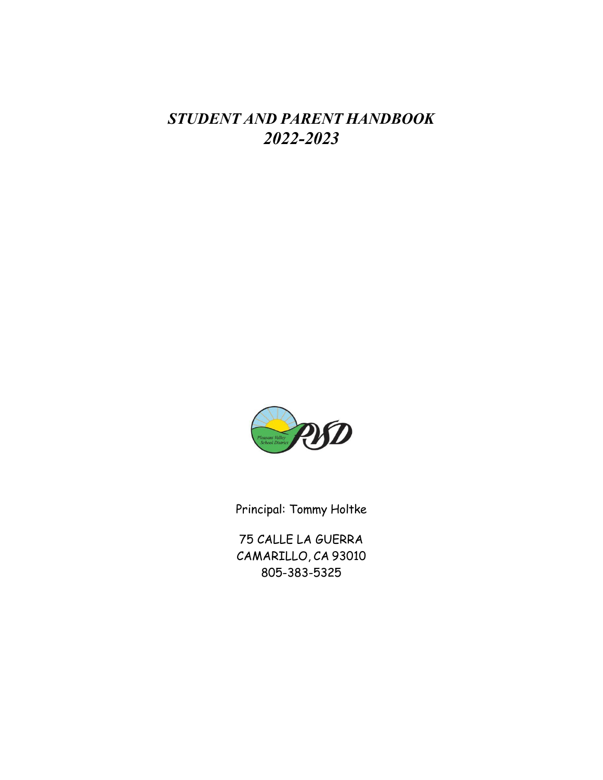# *STUDENT AND PARENT HANDBOOK 2022-2023*



Principal: Tommy Holtke

75 CALLE LA GUERRA CAMARILLO, CA 93010 805-383-5325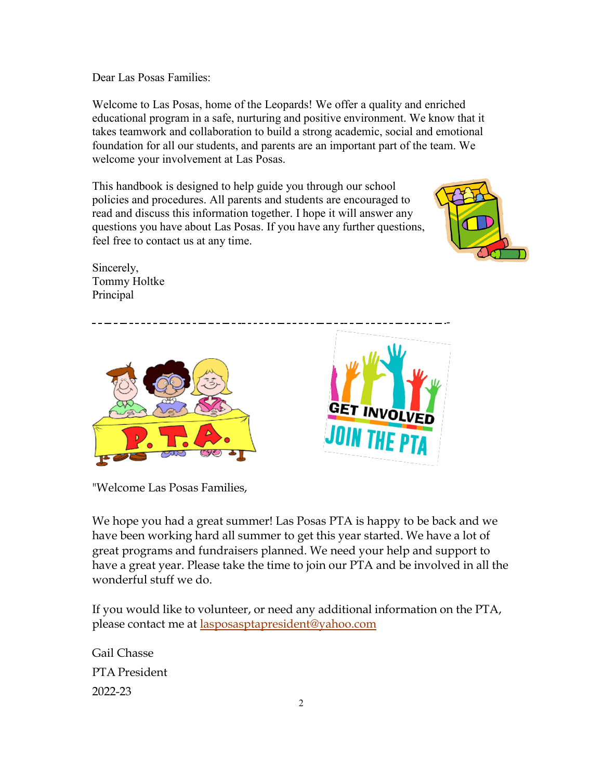Dear Las Posas Families:

Welcome to Las Posas, home of the Leopards! We offer a quality and enriched educational program in a safe, nurturing and positive environment. We know that it takes teamwork and collaboration to build a strong academic, social and emotional foundation for all our students, and parents are an important part of the team. We welcome your involvement at Las Posas.

This handbook is designed to help guide you through our school policies and procedures. All parents and students are encouraged to read and discuss this information together. I hope it will answer any questions you have about Las Posas. If you have any further questions, feel free to contact us at any time.



Sincerely, Tommy Holtke Principal



"Welcome Las Posas Families,

We hope you had a great summer! Las Posas PTA is happy to be back and we have been working hard all summer to get this year started. We have a lot of great programs and fundraisers planned. We need your help and support to have a great year. Please take the time to join our PTA and be involved in all the wonderful stuff we do.

If you would like to volunteer, or need any additional information on the PTA, please contact me at **lasposasptapresident@yahoo.com** 

Gail Chasse PTA President 2022-23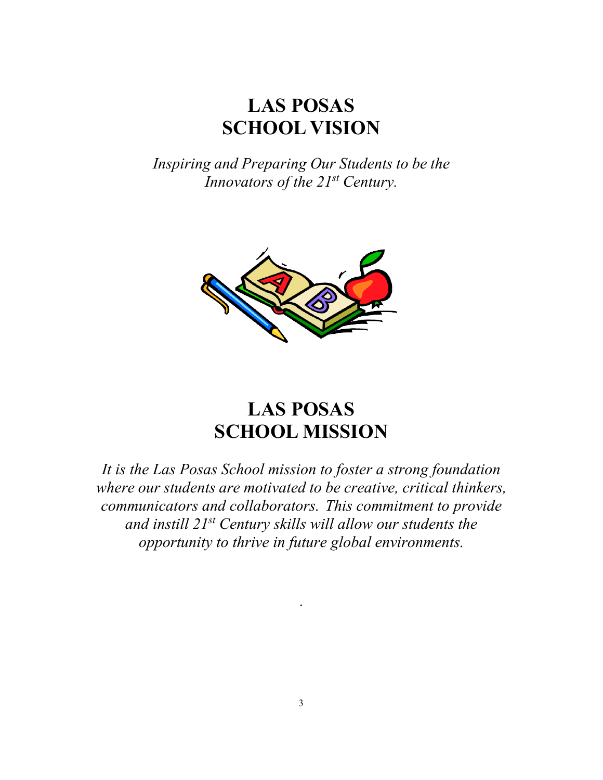# **LAS POSAS SCHOOL VISION**

*Inspiring and Preparing Our Students to be the Innovators of the 21st Century.*



# **LAS POSAS SCHOOL MISSION**

*It is the Las Posas School mission to foster a strong foundation where our students are motivated to be creative, critical thinkers, communicators and collaborators. This commitment to provide and instill 21st Century skills will allow our students the opportunity to thrive in future global environments.*

.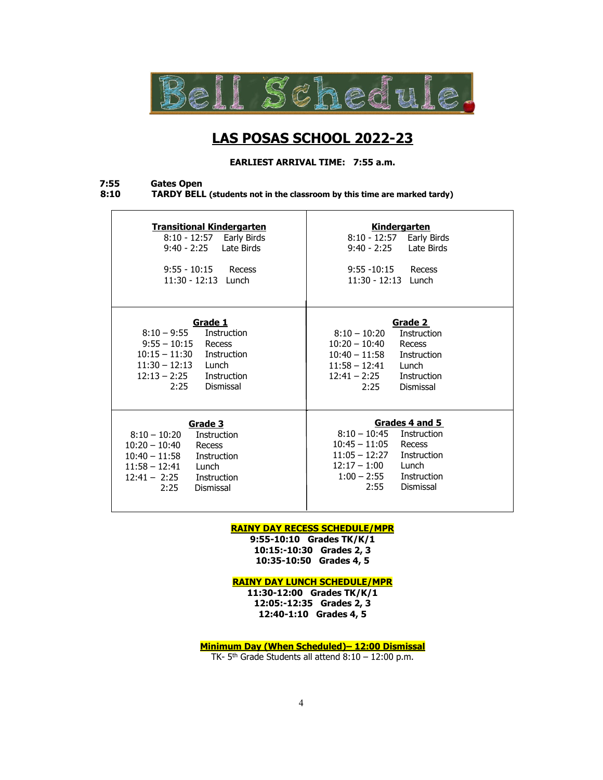

# **LAS POSAS SCHOOL 2022-23**

**EARLIEST ARRIVAL TIME: 7:55 a.m.**

# **7:55 Gates Open**

l

**8:10 TARDY BELL (students not in the classroom by this time are marked tardy)**

| <b>Transitional Kindergarten</b><br>8:10 - 12:57 Early Birds<br>9:40 - 2:25    Late Birds<br>$9:55 - 10:15$ Recess<br>$11:30 - 12:13$ Lunch                                                      | Kindergarten<br>$8:10 - 12:57$<br>Early Birds<br>Late Birds<br>9:40 - 2:25<br>$9:55 - 10:15$<br>Recess<br>$11:30 - 12:13$ Lunch                                                                  |
|--------------------------------------------------------------------------------------------------------------------------------------------------------------------------------------------------|--------------------------------------------------------------------------------------------------------------------------------------------------------------------------------------------------|
| Grade 1<br>$8:10 - 9:55$<br>Instruction<br>$9:55 - 10:15$<br>Recess<br>$10:15 - 11:30$ Instruction<br>$11:30 - 12:13$ Lunch<br>$12:13 - 2:25$<br>Instruction<br>2:25<br>Dismissal                | Grade 2<br>$8:10 - 10:20$<br>Instruction<br>$10:20 - 10:40$<br>Recess<br>$10:40 - 11:58$<br>Instruction<br>$11:58 - 12:41$<br>Lunch<br>$12:41 - 2:25$<br><b>Instruction</b><br>2:25<br>Dismissal |
| Grade 3<br>$8:10 - 10:20$<br>Instruction<br>$10:20 - 10:40$<br>Recess<br>$10:40 - 11:58$<br>Instruction<br>$11:58 - 12:41$<br>Lunch<br>$12:41 - 2:25$<br><b>Instruction</b><br>2:25<br>Dismissal | Grades 4 and 5<br>$8:10 - 10:45$<br>Instruction<br>$10:45 - 11:05$<br>Recess<br>$11:05 - 12:27$<br>Instruction<br>$12:17 - 1:00$<br>Lunch<br>$1:00 - 2:55$<br>Instruction<br>2:55<br>Dismissal   |

#### **RAINY DAY RECESS SCHEDULE/MPR**

**9:55-10:10 Grades TK/K/1 10:15:-10:30 Grades 2, 3 10:35-10:50 Grades 4, 5**

**RAINY DAY LUNCH SCHEDULE/MPR**

**11:30-12:00 Grades TK/K/1 12:05:-12:35 Grades 2, 3 12:40-1:10 Grades 4, 5**

**Minimum Day (When Scheduled)– 12:00 Dismissal**

TK-  $5<sup>th</sup>$  Grade Students all attend  $8:10 - 12:00$  p.m.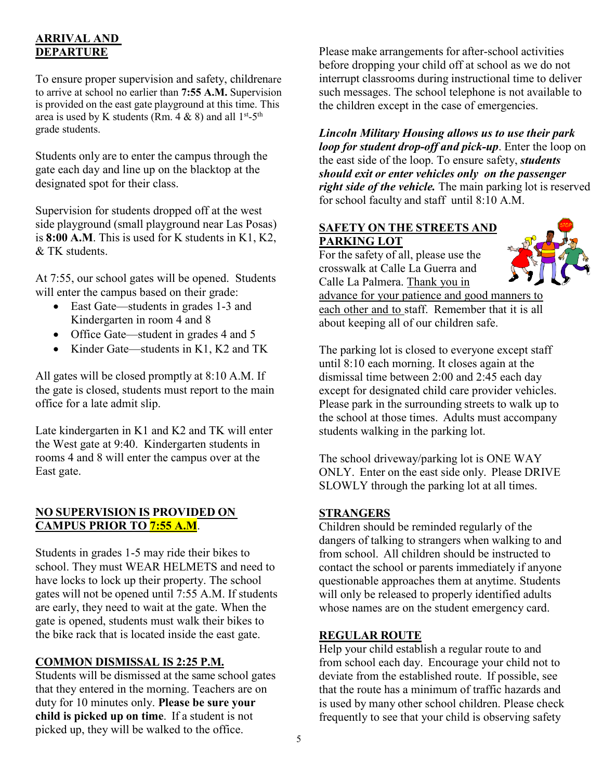# **ARRIVAL AND DEPARTURE**

To ensure proper supervision and safety, childrenare to arrive at school no earlier than **7:55 A.M.** Supervision is provided on the east gate playground at this time. This area is used by K students (Rm. 4 & 8) and all  $1^{st}$ -5<sup>th</sup> grade students.

Students only are to enter the campus through the gate each day and line up on the blacktop at the designated spot for their class.

Supervision for students dropped off at the west side playground (small playground near Las Posas) is **8:00 A.M**. This is used for K students in K1, K2, & TK students.

At 7:55, our school gates will be opened. Students will enter the campus based on their grade:

- East Gate—students in grades 1-3 and Kindergarten in room 4 and 8
- Office Gate—student in grades 4 and 5
- Kinder Gate—students in K1, K2 and TK

All gates will be closed promptly at 8:10 A.M. If the gate is closed, students must report to the main office for a late admit slip.

Late kindergarten in K1 and K2 and TK will enter the West gate at 9:40. Kindergarten students in rooms 4 and 8 will enter the campus over at the East gate.

# **NO SUPERVISION IS PROVIDED ON CAMPUS PRIOR TO 7:55 A.M**.

Students in grades 1-5 may ride their bikes to school. They must WEAR HELMETS and need to have locks to lock up their property. The school gates will not be opened until 7:55 A.M. If students are early, they need to wait at the gate. When the gate is opened, students must walk their bikes to the bike rack that is located inside the east gate.

# **COMMON DISMISSAL IS 2:25 P.M.**

Students will be dismissed at the same school gates that they entered in the morning. Teachers are on duty for 10 minutes only. **Please be sure your child is picked up on time**. If a student is not picked up, they will be walked to the office.

Please make arrangements for after-school activities before dropping your child off at school as we do not interrupt classrooms during instructional time to deliver such messages. The school telephone is not available to the children except in the case of emergencies.

*Lincoln Military Housing allows us to use their park loop for student drop-off and pick-up*. Enter the loop on the east side of the loop. To ensure safety, *students should exit or enter vehicles only on the passenger right side of the vehicle.* The main parking lot is reserved for school faculty and staff until 8:10 A.M.

# **SAFETY ON THE STREETS AND PARKING LOT**

For the safety of all, please use the crosswalk at Calle La Guerra and Calle La Palmera. Thank you in

advance for your patience and good manners to each other and to staff. Remember that it is all about keeping all of our children safe.

The parking lot is closed to everyone except staff until 8:10 each morning. It closes again at the dismissal time between 2:00 and 2:45 each day except for designated child care provider vehicles. Please park in the surrounding streets to walk up to the school at those times. Adults must accompany students walking in the parking lot.

The school driveway/parking lot is ONE WAY ONLY. Enter on the east side only. Please DRIVE SLOWLY through the parking lot at all times.

# **STRANGERS**

Children should be reminded regularly of the dangers of talking to strangers when walking to and from school. All children should be instructed to contact the school or parents immediately if anyone questionable approaches them at anytime. Students will only be released to properly identified adults whose names are on the student emergency card.

# **REGULAR ROUTE**

Help your child establish a regular route to and from school each day. Encourage your child not to deviate from the established route. If possible, see that the route has a minimum of traffic hazards and is used by many other school children. Please check frequently to see that your child is observing safety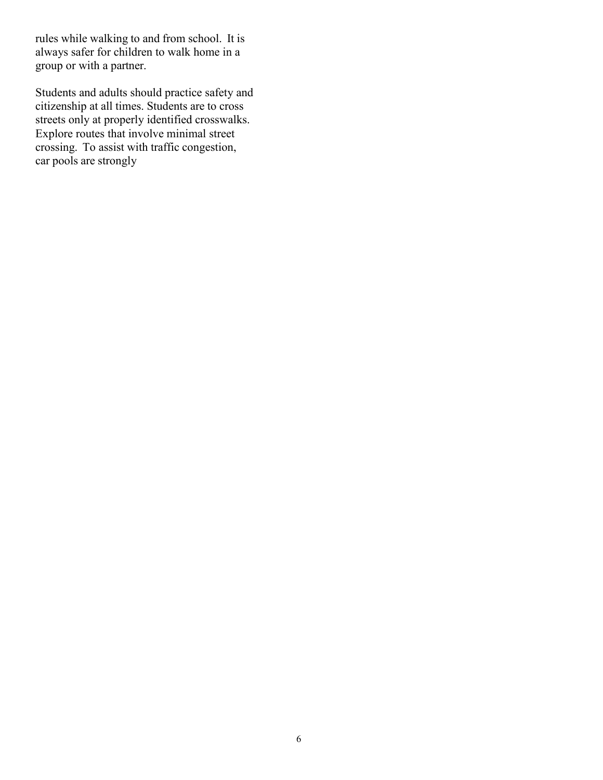rules while walking to and from school. It is always safer for children to walk home in a group or with a partner.

Students and adults should practice safety and citizenship at all times. Students are to cross streets only at properly identified crosswalks. Explore routes that involve minimal street crossing. To assist with traffic congestion, car pools are strongly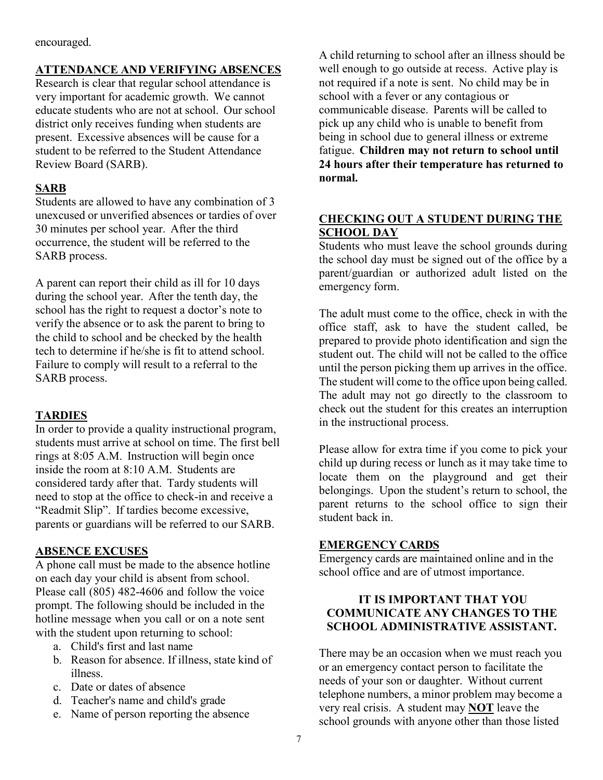encouraged.

# **ATTENDANCE AND VERIFYING ABSENCES**

Research is clear that regular school attendance is very important for academic growth. We cannot educate students who are not at school. Our school district only receives funding when students are present. Excessive absences will be cause for a student to be referred to the Student Attendance Review Board (SARB).

# **SARB**

Students are allowed to have any combination of 3 unexcused or unverified absences or tardies of over 30 minutes per school year. After the third occurrence, the student will be referred to the SARB process.

A parent can report their child as ill for 10 days during the school year. After the tenth day, the school has the right to request a doctor's note to verify the absence or to ask the parent to bring to the child to school and be checked by the health tech to determine if he/she is fit to attend school. Failure to comply will result to a referral to the SARB process.

# **TARDIES**

In order to provide a quality instructional program, students must arrive at school on time. The first bell rings at 8:05 A.M. Instruction will begin once inside the room at 8:10 A.M. Students are considered tardy after that. Tardy students will need to stop at the office to check-in and receive a "Readmit Slip". If tardies become excessive, parents or guardians will be referred to our SARB.

# **ABSENCE EXCUSES**

A phone call must be made to the absence hotline on each day your child is absent from school. Please call (805) 482-4606 and follow the voice prompt. The following should be included in the hotline message when you call or on a note sent with the student upon returning to school:

- a. Child's first and last name
- b. Reason for absence. If illness, state kind of illness.
- c. Date or dates of absence
- d. Teacher's name and child's grade
- e. Name of person reporting the absence

A child returning to school after an illness should be well enough to go outside at recess. Active play is not required if a note is sent. No child may be in school with a fever or any contagious or communicable disease. Parents will be called to pick up any child who is unable to benefit from being in school due to general illness or extreme fatigue. **Children may not return to school until 24 hours after their temperature has returned to normal.**

# **CHECKING OUT A STUDENT DURING THE SCHOOL DAY**

Students who must leave the school grounds during the school day must be signed out of the office by a parent/guardian or authorized adult listed on the emergency form.

The adult must come to the office, check in with the office staff, ask to have the student called, be prepared to provide photo identification and sign the student out. The child will not be called to the office until the person picking them up arrives in the office. The student will come to the office upon being called. The adult may not go directly to the classroom to check out the student for this creates an interruption in the instructional process.

Please allow for extra time if you come to pick your child up during recess or lunch as it may take time to locate them on the playground and get their belongings. Upon the student's return to school, the parent returns to the school office to sign their student back in.

# **EMERGENCY CARDS**

Emergency cards are maintained online and in the school office and are of utmost importance.

# **IT IS IMPORTANT THAT YOU COMMUNICATE ANY CHANGES TO THE SCHOOL ADMINISTRATIVE ASSISTANT.**

There may be an occasion when we must reach you or an emergency contact person to facilitate the needs of your son or daughter. Without current telephone numbers, a minor problem may become a very real crisis. A student may **NOT** leave the school grounds with anyone other than those listed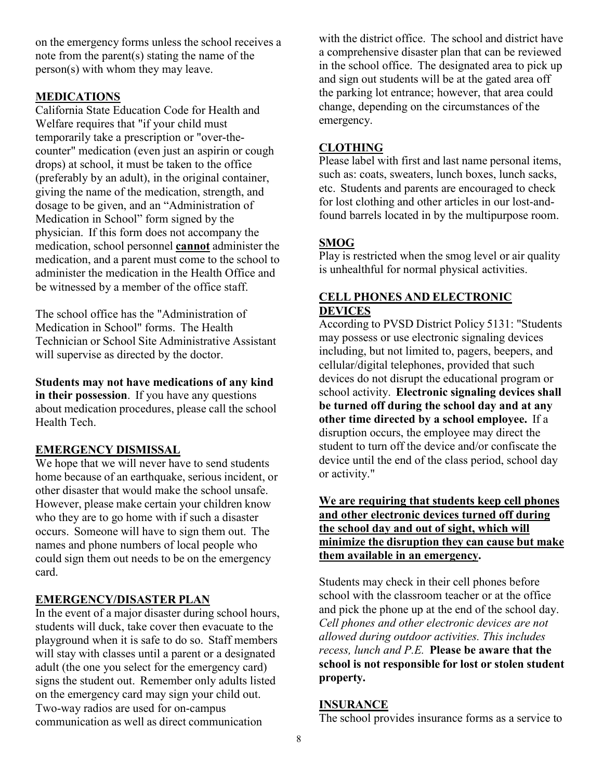on the emergency forms unless the school receives a note from the parent(s) stating the name of the person(s) with whom they may leave.

## **MEDICATIONS**

California State Education Code for Health and Welfare requires that "if your child must temporarily take a prescription or "over-thecounter" medication (even just an aspirin or cough drops) at school, it must be taken to the office (preferably by an adult), in the original container, giving the name of the medication, strength, and dosage to be given, and an "Administration of Medication in School" form signed by the physician. If this form does not accompany the medication, school personnel **cannot** administer the medication, and a parent must come to the school to administer the medication in the Health Office and be witnessed by a member of the office staff.

The school office has the "Administration of Medication in School" forms. The Health Technician or School Site Administrative Assistant will supervise as directed by the doctor.

**Students may not have medications of any kind in their possession**. If you have any questions about medication procedures, please call the school Health Tech.

#### **EMERGENCY DISMISSAL**

We hope that we will never have to send students home because of an earthquake, serious incident, or other disaster that would make the school unsafe. However, please make certain your children know who they are to go home with if such a disaster occurs. Someone will have to sign them out. The names and phone numbers of local people who could sign them out needs to be on the emergency card.

#### **EMERGENCY/DISASTER PLAN**

In the event of a major disaster during school hours, students will duck, take cover then evacuate to the playground when it is safe to do so. Staff members will stay with classes until a parent or a designated adult (the one you select for the emergency card) signs the student out. Remember only adults listed on the emergency card may sign your child out. Two-way radios are used for on-campus communication as well as direct communication

with the district office. The school and district have a comprehensive disaster plan that can be reviewed in the school office. The designated area to pick up and sign out students will be at the gated area off the parking lot entrance; however, that area could change, depending on the circumstances of the emergency.

## **CLOTHING**

Please label with first and last name personal items, such as: coats, sweaters, lunch boxes, lunch sacks, etc. Students and parents are encouraged to check for lost clothing and other articles in our lost-andfound barrels located in by the multipurpose room.

## **SMOG**

Play is restricted when the smog level or air quality is unhealthful for normal physical activities.

#### **CELL PHONES AND ELECTRONIC DEVICES**

According to PVSD District Policy 5131: "Students may possess or use electronic signaling devices including, but not limited to, pagers, beepers, and cellular/digital telephones, provided that such devices do not disrupt the educational program or school activity. **Electronic signaling devices shall be turned off during the school day and at any other time directed by a school employee.** If a disruption occurs, the employee may direct the student to turn off the device and/or confiscate the device until the end of the class period, school day or activity."

# **We are requiring that students keep cell phones and other electronic devices turned off during the school day and out of sight, which will minimize the disruption they can cause but make them available in an emergency.**

Students may check in their cell phones before school with the classroom teacher or at the office and pick the phone up at the end of the school day. *Cell phones and other electronic devices are not allowed during outdoor activities. This includes recess, lunch and P.E.* **Please be aware that the school is not responsible for lost or stolen student property.**

#### **INSURANCE**

The school provides insurance forms as a service to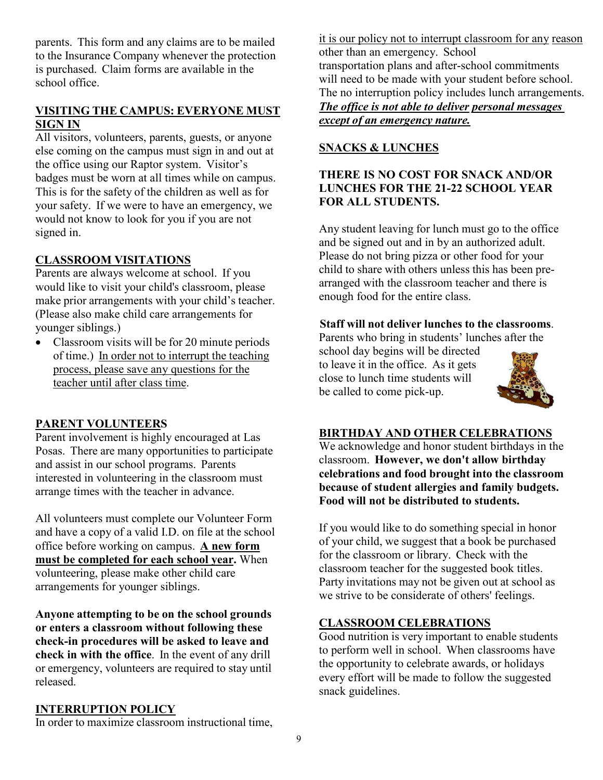parents. This form and any claims are to be mailed to the Insurance Company whenever the protection is purchased. Claim forms are available in the school office.

## **VISITING THE CAMPUS: EVERYONE MUST SIGN IN**

All visitors, volunteers, parents, guests, or anyone else coming on the campus must sign in and out at the office using our Raptor system. Visitor's badges must be worn at all times while on campus. This is for the safety of the children as well as for your safety. If we were to have an emergency, we would not know to look for you if you are not signed in.

# **CLASSROOM VISITATIONS**

Parents are always welcome at school. If you would like to visit your child's classroom, please make prior arrangements with your child's teacher. (Please also make child care arrangements for younger siblings.)

• Classroom visits will be for 20 minute periods of time.) In order not to interrupt the teaching process, please save any questions for the teacher until after class time.

#### **PARENT VOLUNTEERS**

Parent involvement is highly encouraged at Las Posas. There are many opportunities to participate and assist in our school programs. Parents interested in volunteering in the classroom must arrange times with the teacher in advance.

All volunteers must complete our Volunteer Form and have a copy of a valid I.D. on file at the school office before working on campus. **A new form must be completed for each school year.** When volunteering, please make other child care arrangements for younger siblings.

**Anyone attempting to be on the school grounds or enters a classroom without following these check-in procedures will be asked to leave and check in with the office**. In the event of any drill or emergency, volunteers are required to stay until released.

#### **INTERRUPTION POLICY**

In order to maximize classroom instructional time,

it is our policy not to interrupt classroom for any reason other than an emergency. School transportation plans and after-school commitments will need to be made with your student before school. The no interruption policy includes lunch arrangements. *The office is not able to deliver personal messages except of an emergency nature.*

## **SNACKS & LUNCHES**

# **THERE IS NO COST FOR SNACK AND/OR LUNCHES FOR THE 21-22 SCHOOL YEAR FOR ALL STUDENTS.**

Any student leaving for lunch must go to the office and be signed out and in by an authorized adult. Please do not bring pizza or other food for your child to share with others unless this has been prearranged with the classroom teacher and there is enough food for the entire class.

#### **Staff will not deliver lunches to the classrooms**.

Parents who bring in students' lunches after the

school day begins will be directed to leave it in the office. As it gets close to lunch time students will be called to come pick-up.



#### **BIRTHDAY AND OTHER CELEBRATIONS**

We acknowledge and honor student birthdays in the classroom. **However, we don't allow birthday celebrations and food brought into the classroom because of student allergies and family budgets. Food will not be distributed to students.**

If you would like to do something special in honor of your child, we suggest that a book be purchased for the classroom or library. Check with the classroom teacher for the suggested book titles. Party invitations may not be given out at school as we strive to be considerate of others' feelings.

#### **CLASSROOM CELEBRATIONS**

Good nutrition is very important to enable students to perform well in school. When classrooms have the opportunity to celebrate awards, or holidays every effort will be made to follow the suggested snack guidelines.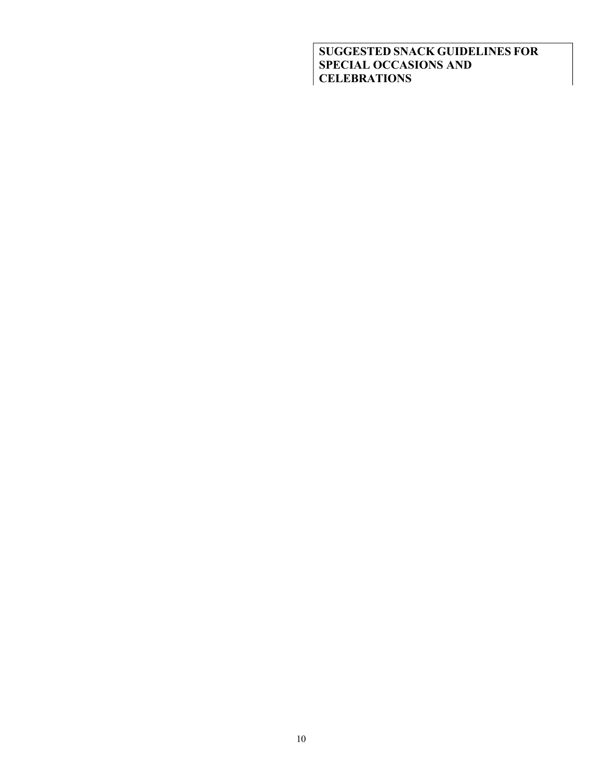**SUGGESTED SNACK GUIDELINES FOR SPECIAL OCCASIONS AND CELEBRATIONS**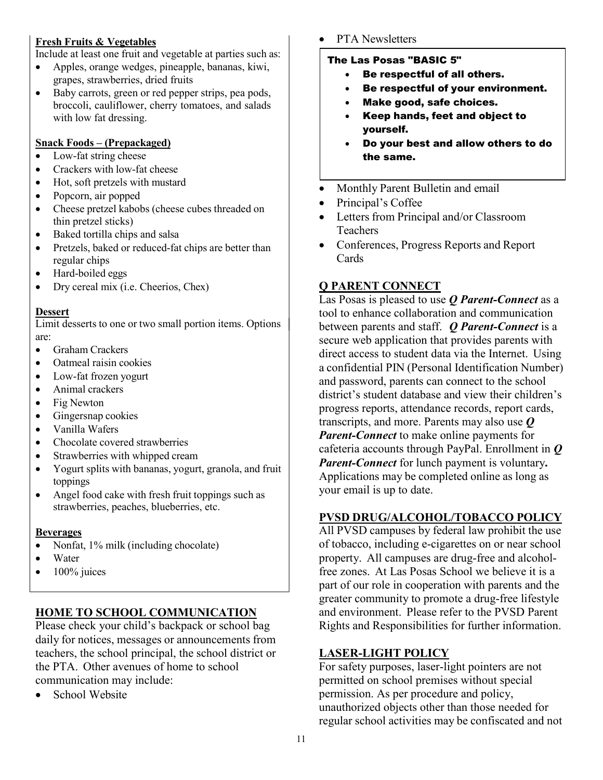# **Fresh Fruits & Vegetables**

Include at least one fruit and vegetable at parties such as:

- Apples, orange wedges, pineapple, bananas, kiwi, grapes, strawberries, dried fruits
- Baby carrots, green or red pepper strips, pea pods, broccoli, cauliflower, cherry tomatoes, and salads with low fat dressing.

#### **Snack Foods – (Prepackaged)**

- Low-fat string cheese
- Crackers with low-fat cheese
- Hot, soft pretzels with mustard
- Popcorn, air popped
- Cheese pretzel kabobs (cheese cubes threaded on thin pretzel sticks)
- Baked tortilla chips and salsa
- Pretzels, baked or reduced-fat chips are better than regular chips
- Hard-boiled eggs
- Dry cereal mix (i.e. Cheerios, Chex)

#### **Dessert**

Limit desserts to one or two small portion items. Options are:

- Graham Crackers
- Oatmeal raisin cookies
- Low-fat frozen yogurt
- Animal crackers
- Fig Newton
- Gingersnap cookies
- Vanilla Wafers
- Chocolate covered strawberries
- Strawberries with whipped cream
- Yogurt splits with bananas, yogurt, granola, and fruit toppings
- Angel food cake with fresh fruit toppings such as strawberries, peaches, blueberries, etc.

#### **Beverages**

- Nonfat, 1% milk (including chocolate)
- Water
- $\bullet$  100% juices

# **HOME TO SCHOOL COMMUNICATION**

Please check your child's backpack or school bag daily for notices, messages or announcements from teachers, the school principal, the school district or the PTA. Other avenues of home to school communication may include:

• School Website

PTA Newsletters

## The Las Posas "BASIC 5"

- Be respectful of all others.
- Be respectful of your environment.
- Make good, safe choices.
- Keep hands, feet and object to yourself.
- Do your best and allow others to do the same.
- Monthly Parent Bulletin and email
- Principal's Coffee
- Letters from Principal and/or Classroom **Teachers**
- Conferences, Progress Reports and Report Cards

# **Q PARENT CONNECT**

Las Posas is pleased to use *Q Parent-Connect* as a tool to enhance collaboration and communication between parents and staff. *Q Parent-Connect* is a secure web application that provides parents with direct access to student data via the Internet. Using a confidential PIN (Personal Identification Number) and password, parents can connect to the school district's student database and view their children's progress reports, attendance records, report cards, transcripts, and more. Parents may also use *Q Parent-Connect* to make online payments for cafeteria accounts through PayPal. Enrollment in *Q Parent-Connect* for lunch payment is voluntary**.** Applications may be completed online as long as your email is up to date.

# **PVSD DRUG/ALCOHOL/TOBACCO POLICY**

All PVSD campuses by federal law prohibit the use of tobacco, including e-cigarettes on or near school property. All campuses are drug-free and alcoholfree zones. At Las Posas School we believe it is a part of our role in cooperation with parents and the greater community to promote a drug-free lifestyle and environment. Please refer to the PVSD Parent Rights and Responsibilities for further information.

# **LASER-LIGHT POLICY**

For safety purposes, laser-light pointers are not permitted on school premises without special permission. As per procedure and policy, unauthorized objects other than those needed for regular school activities may be confiscated and not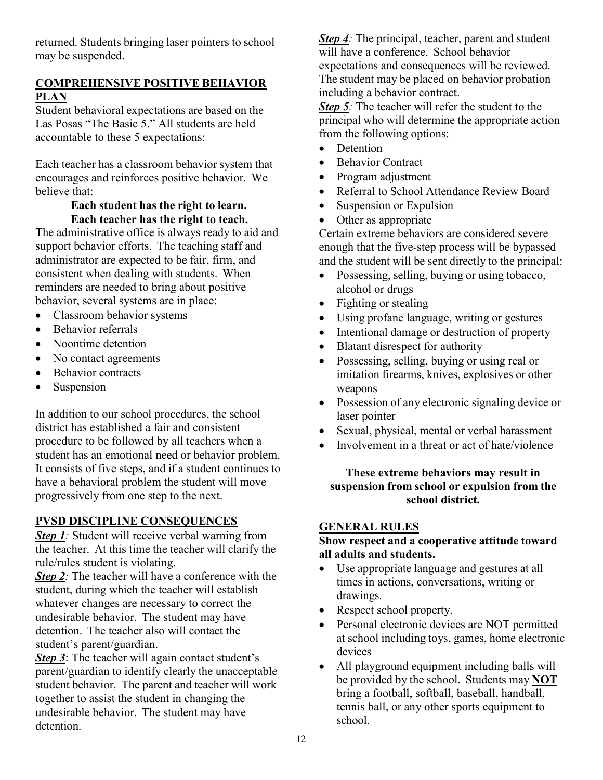returned. Students bringing laser pointers to school may be suspended.

# **COMPREHENSIVE POSITIVE BEHAVIOR PLAN**

Student behavioral expectations are based on the Las Posas "The Basic 5." All students are held accountable to these 5 expectations:

Each teacher has a classroom behavior system that encourages and reinforces positive behavior. We believe that:

## **Each student has the right to learn. Each teacher has the right to teach.**

The administrative office is always ready to aid and support behavior efforts. The teaching staff and administrator are expected to be fair, firm, and consistent when dealing with students. When reminders are needed to bring about positive behavior, several systems are in place:

- Classroom behavior systems
- Behavior referrals
- Noontime detention
- No contact agreements
- Behavior contracts
- Suspension

In addition to our school procedures, the school district has established a fair and consistent procedure to be followed by all teachers when a student has an emotional need or behavior problem. It consists of five steps, and if a student continues to have a behavioral problem the student will move progressively from one step to the next.

# **PVSD DISCIPLINE CONSEQUENCES**

*Step 1:* Student will receive verbal warning from the teacher. At this time the teacher will clarify the rule/rules student is violating.

*Step* 2: The teacher will have a conference with the student, during which the teacher will establish whatever changes are necessary to correct the undesirable behavior. The student may have detention. The teacher also will contact the student's parent/guardian.

*Step 3*: The teacher will again contact student's parent/guardian to identify clearly the unacceptable student behavior. The parent and teacher will work together to assist the student in changing the undesirable behavior. The student may have detention.

*Step 4:* The principal, teacher, parent and student will have a conference. School behavior expectations and consequences will be reviewed. The student may be placed on behavior probation including a behavior contract.

*Step 5*: The teacher will refer the student to the principal who will determine the appropriate action from the following options:

- Detention
- Behavior Contract
- Program adjustment
- Referral to School Attendance Review Board
- Suspension or Expulsion
- Other as appropriate

Certain extreme behaviors are considered severe enough that the five-step process will be bypassed and the student will be sent directly to the principal:

- Possessing, selling, buying or using tobacco, alcohol or drugs
- Fighting or stealing
- Using profane language, writing or gestures
- Intentional damage or destruction of property
- Blatant disrespect for authority
- Possessing, selling, buying or using real or imitation firearms, knives, explosives or other weapons
- Possession of any electronic signaling device or laser pointer
- Sexual, physical, mental or verbal harassment
- Involvement in a threat or act of hate/violence

## **These extreme behaviors may result in suspension from school or expulsion from the school district.**

#### **GENERAL RULES**

## **Show respect and a cooperative attitude toward all adults and students.**

- Use appropriate language and gestures at all times in actions, conversations, writing or drawings.
- Respect school property.
- Personal electronic devices are NOT permitted at school including toys, games, home electronic devices
- All playground equipment including balls will be provided by the school. Students may **NOT** bring a football, softball, baseball, handball, tennis ball, or any other sports equipment to school.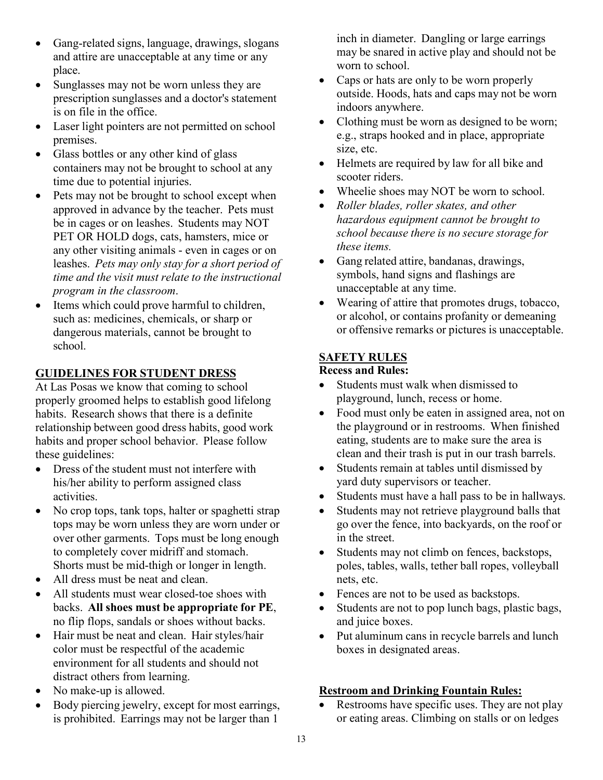- Gang-related signs, language, drawings, slogans and attire are unacceptable at any time or any place.
- Sunglasses may not be worn unless they are prescription sunglasses and a doctor's statement is on file in the office.
- Laser light pointers are not permitted on school premises.
- Glass bottles or any other kind of glass containers may not be brought to school at any time due to potential injuries.
- Pets may not be brought to school except when approved in advance by the teacher. Pets must be in cages or on leashes. Students may NOT PET OR HOLD dogs, cats, hamsters, mice or any other visiting animals - even in cages or on leashes. *Pets may only stay for a short period of time and the visit must relate to the instructional program in the classroom*.
- Items which could prove harmful to children, such as: medicines, chemicals, or sharp or dangerous materials, cannot be brought to school.

# **GUIDELINES FOR STUDENT DRESS**

At Las Posas we know that coming to school properly groomed helps to establish good lifelong habits. Research shows that there is a definite relationship between good dress habits, good work habits and proper school behavior. Please follow these guidelines:

- Dress of the student must not interfere with his/her ability to perform assigned class activities.
- No crop tops, tank tops, halter or spaghetti strap tops may be worn unless they are worn under or over other garments. Tops must be long enough to completely cover midriff and stomach. Shorts must be mid-thigh or longer in length.
- All dress must be neat and clean.
- All students must wear closed-toe shoes with backs. **All shoes must be appropriate for PE**, no flip flops, sandals or shoes without backs.
- Hair must be neat and clean. Hair styles/hair color must be respectful of the academic environment for all students and should not distract others from learning.
- No make-up is allowed.
- Body piercing jewelry, except for most earrings, is prohibited. Earrings may not be larger than 1

inch in diameter. Dangling or large earrings may be snared in active play and should not be worn to school.

- Caps or hats are only to be worn properly outside. Hoods, hats and caps may not be worn indoors anywhere.
- Clothing must be worn as designed to be worn; e.g., straps hooked and in place, appropriate size, etc.
- Helmets are required by law for all bike and scooter riders.
- Wheelie shoes may NOT be worn to school.
- *Roller blades, roller skates, and other hazardous equipment cannot be brought to school because there is no secure storage for these items.*
- Gang related attire, bandanas, drawings, symbols, hand signs and flashings are unacceptable at any time.
- Wearing of attire that promotes drugs, tobacco, or alcohol, or contains profanity or demeaning or offensive remarks or pictures is unacceptable.

# **SAFETY RULES**

## **Recess and Rules:**

- Students must walk when dismissed to playground, lunch, recess or home.
- Food must only be eaten in assigned area, not on the playground or in restrooms. When finished eating, students are to make sure the area is clean and their trash is put in our trash barrels.
- Students remain at tables until dismissed by yard duty supervisors or teacher.
- Students must have a hall pass to be in hallways.
- Students may not retrieve playground balls that go over the fence, into backyards, on the roof or in the street.
- Students may not climb on fences, backstops, poles, tables, walls, tether ball ropes, volleyball nets, etc.
- Fences are not to be used as backstops.
- Students are not to pop lunch bags, plastic bags, and juice boxes.
- Put aluminum cans in recycle barrels and lunch boxes in designated areas.

# **Restroom and Drinking Fountain Rules:**

Restrooms have specific uses. They are not play or eating areas. Climbing on stalls or on ledges